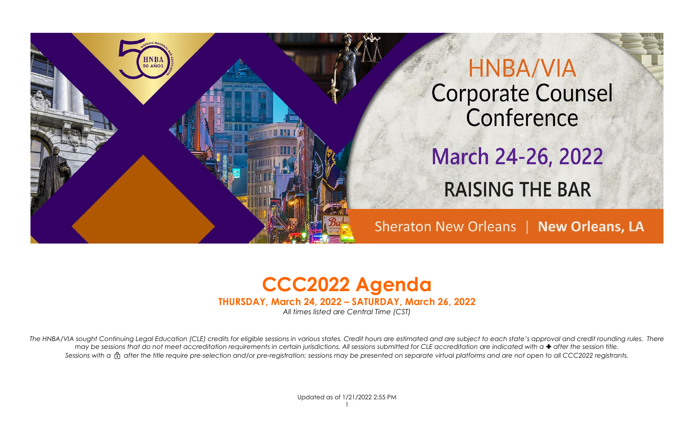



**THURSDAY, March 24, 2022 – SATURDAY, March 26, 2022**

*All times listed are Central Time (CST)*

The HNBA/VIA sought Continuing Legal Education (CLE) credits for eligible sessions in various states. Credit hours are estimated and are subject to each state's approval and credit rounding rules. There *may be sessions that do not meet accreditation requirements in certain jurisdictions. All sessions submitted for CLE accreditation are indicated with a*  $\bullet$  *after the session title. Sessions with a after the title require pre-selection and/or pre-registration; sessions may be presented on separate virtual platforms and are not open to all CCC2022 registrants.*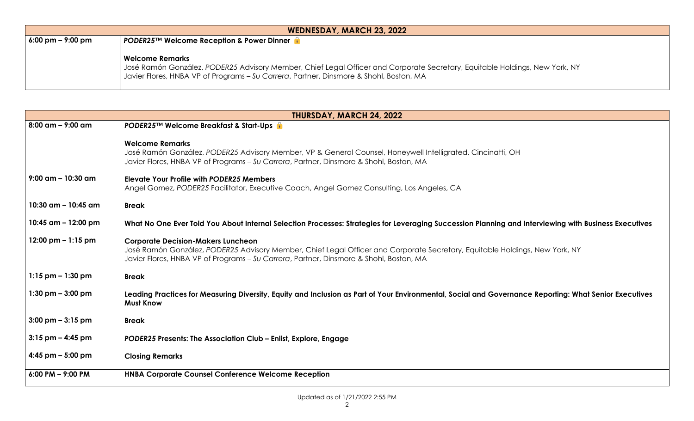| <b>WEDNESDAY, MARCH 23, 2022</b>                                                            |                                                                                                                                                                                                                                          |  |  |  |
|---------------------------------------------------------------------------------------------|------------------------------------------------------------------------------------------------------------------------------------------------------------------------------------------------------------------------------------------|--|--|--|
| $6:00 \text{ pm} - 9:00 \text{ pm}$<br><b>PODER25™ Welcome Reception &amp; Power Dinner</b> |                                                                                                                                                                                                                                          |  |  |  |
|                                                                                             | Welcome Remarks<br>José Ramón González, PODER25 Advisory Member, Chief Legal Officer and Corporate Secretary, Equitable Holdings, New York, NY<br>Javier Flores, HNBA VP of Programs - Su Carrera, Partner, Dinsmore & Shohl, Boston, MA |  |  |  |

| THURSDAY, MARCH 24, 2022              |                                                                                                                                                                                                                                                                    |  |  |
|---------------------------------------|--------------------------------------------------------------------------------------------------------------------------------------------------------------------------------------------------------------------------------------------------------------------|--|--|
| $8:00$ am $-$ 9:00 am                 | PODER25™ Welcome Breakfast & Start-Ups f                                                                                                                                                                                                                           |  |  |
|                                       | <b>Welcome Remarks</b><br>José Ramón González, PODER25 Advisory Member, VP & General Counsel, Honeywell Intelligrated, Cincinatti, OH<br>Javier Flores, HNBA VP of Programs - Su Carrera, Partner, Dinsmore & Shohl, Boston, MA                                    |  |  |
| $9:00$ am - 10:30 am                  | <b>Elevate Your Profile with PODER25 Members</b><br>Angel Gomez, PODER25 Facilitator, Executive Coach, Angel Gomez Consulting, Los Angeles, CA                                                                                                                     |  |  |
| 10:30 $\text{am}$ – 10:45 $\text{am}$ | <b>Break</b>                                                                                                                                                                                                                                                       |  |  |
| 10:45 $am - 12:00$ pm                 | What No One Ever Told You About Internal Selection Processes: Strategies for Leveraging Succession Planning and Interviewing with Business Executives                                                                                                              |  |  |
| 12:00 pm $-1:15$ pm                   | <b>Corporate Decision-Makers Luncheon</b><br>José Ramón González, PODER25 Advisory Member, Chief Legal Officer and Corporate Secretary, Equitable Holdings, New York, NY<br>Javier Flores, HNBA VP of Programs - Su Carrera, Partner, Dinsmore & Shohl, Boston, MA |  |  |
| $1:15$ pm $-1:30$ pm                  | <b>Break</b>                                                                                                                                                                                                                                                       |  |  |
| $1:30$ pm $-3:00$ pm                  | Leading Practices for Measuring Diversity, Equity and Inclusion as Part of Your Environmental, Social and Governance Reporting: What Senior Executives<br><b>Must Know</b>                                                                                         |  |  |
| $3:00 \text{ pm} - 3:15 \text{ pm}$   | <b>Break</b>                                                                                                                                                                                                                                                       |  |  |
| $3:15$ pm $-$ 4:45 pm                 | PODER25 Presents: The Association Club - Enlist, Explore, Engage                                                                                                                                                                                                   |  |  |
| 4:45 pm $-$ 5:00 pm                   | <b>Closing Remarks</b>                                                                                                                                                                                                                                             |  |  |
| $6:00$ PM $-$ 9:00 PM                 | <b>HNBA Corporate Counsel Conference Welcome Reception</b>                                                                                                                                                                                                         |  |  |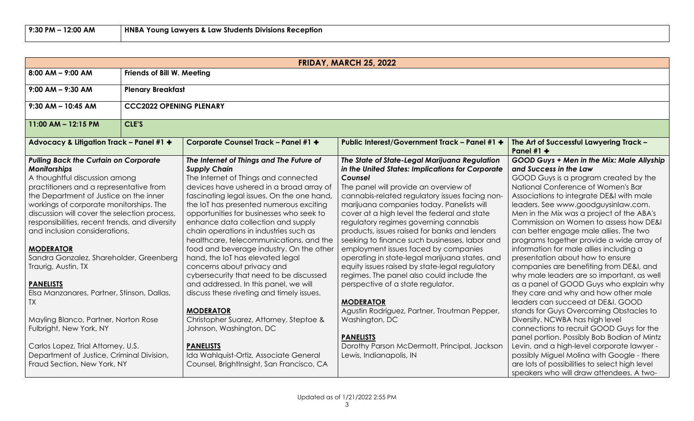| <b>FRIDAY, MARCH 25, 2022</b>                                                                                                                                                                                                                                                                                                                                                                                                                                                                                                                                                                                                                                                                                              |                                |                                                                                                                                                                                                                                                                                                                                                                                                                                                                                                                                                                                                                                                                                                                                                                                                                                                                        |                                                                                                                                                                                                                                                                                                                                                                                                                                                                                                                                                                                                                                                                                                                                                                                                                                                                   |                                                                                                                                                                                                                                                                                                                                                                                                                                                                                                                                                                                                                                                                                                                                                                                                                                                                                                                                                                                                                                                                                        |  |  |
|----------------------------------------------------------------------------------------------------------------------------------------------------------------------------------------------------------------------------------------------------------------------------------------------------------------------------------------------------------------------------------------------------------------------------------------------------------------------------------------------------------------------------------------------------------------------------------------------------------------------------------------------------------------------------------------------------------------------------|--------------------------------|------------------------------------------------------------------------------------------------------------------------------------------------------------------------------------------------------------------------------------------------------------------------------------------------------------------------------------------------------------------------------------------------------------------------------------------------------------------------------------------------------------------------------------------------------------------------------------------------------------------------------------------------------------------------------------------------------------------------------------------------------------------------------------------------------------------------------------------------------------------------|-------------------------------------------------------------------------------------------------------------------------------------------------------------------------------------------------------------------------------------------------------------------------------------------------------------------------------------------------------------------------------------------------------------------------------------------------------------------------------------------------------------------------------------------------------------------------------------------------------------------------------------------------------------------------------------------------------------------------------------------------------------------------------------------------------------------------------------------------------------------|----------------------------------------------------------------------------------------------------------------------------------------------------------------------------------------------------------------------------------------------------------------------------------------------------------------------------------------------------------------------------------------------------------------------------------------------------------------------------------------------------------------------------------------------------------------------------------------------------------------------------------------------------------------------------------------------------------------------------------------------------------------------------------------------------------------------------------------------------------------------------------------------------------------------------------------------------------------------------------------------------------------------------------------------------------------------------------------|--|--|
| $8:00$ AM - 9:00 AM                                                                                                                                                                                                                                                                                                                                                                                                                                                                                                                                                                                                                                                                                                        |                                | <b>Friends of Bill W. Meeting</b>                                                                                                                                                                                                                                                                                                                                                                                                                                                                                                                                                                                                                                                                                                                                                                                                                                      |                                                                                                                                                                                                                                                                                                                                                                                                                                                                                                                                                                                                                                                                                                                                                                                                                                                                   |                                                                                                                                                                                                                                                                                                                                                                                                                                                                                                                                                                                                                                                                                                                                                                                                                                                                                                                                                                                                                                                                                        |  |  |
| $9:00$ AM - $9:30$ AM                                                                                                                                                                                                                                                                                                                                                                                                                                                                                                                                                                                                                                                                                                      |                                | <b>Plenary Breakfast</b>                                                                                                                                                                                                                                                                                                                                                                                                                                                                                                                                                                                                                                                                                                                                                                                                                                               |                                                                                                                                                                                                                                                                                                                                                                                                                                                                                                                                                                                                                                                                                                                                                                                                                                                                   |                                                                                                                                                                                                                                                                                                                                                                                                                                                                                                                                                                                                                                                                                                                                                                                                                                                                                                                                                                                                                                                                                        |  |  |
| $9:30$ AM - 10:45 AM                                                                                                                                                                                                                                                                                                                                                                                                                                                                                                                                                                                                                                                                                                       | <b>CCC2022 OPENING PLENARY</b> |                                                                                                                                                                                                                                                                                                                                                                                                                                                                                                                                                                                                                                                                                                                                                                                                                                                                        |                                                                                                                                                                                                                                                                                                                                                                                                                                                                                                                                                                                                                                                                                                                                                                                                                                                                   |                                                                                                                                                                                                                                                                                                                                                                                                                                                                                                                                                                                                                                                                                                                                                                                                                                                                                                                                                                                                                                                                                        |  |  |
| $11:00$ AM - 12:15 PM                                                                                                                                                                                                                                                                                                                                                                                                                                                                                                                                                                                                                                                                                                      | CLE'S                          |                                                                                                                                                                                                                                                                                                                                                                                                                                                                                                                                                                                                                                                                                                                                                                                                                                                                        |                                                                                                                                                                                                                                                                                                                                                                                                                                                                                                                                                                                                                                                                                                                                                                                                                                                                   |                                                                                                                                                                                                                                                                                                                                                                                                                                                                                                                                                                                                                                                                                                                                                                                                                                                                                                                                                                                                                                                                                        |  |  |
| Advocacy & Litigation Track - Panel #1 +                                                                                                                                                                                                                                                                                                                                                                                                                                                                                                                                                                                                                                                                                   |                                | Corporate Counsel Track - Panel #1 +                                                                                                                                                                                                                                                                                                                                                                                                                                                                                                                                                                                                                                                                                                                                                                                                                                   | Public Interest/Government Track - Panel #1 +                                                                                                                                                                                                                                                                                                                                                                                                                                                                                                                                                                                                                                                                                                                                                                                                                     | The Art of Successful Lawyering Track -<br>Panel #1 $+$                                                                                                                                                                                                                                                                                                                                                                                                                                                                                                                                                                                                                                                                                                                                                                                                                                                                                                                                                                                                                                |  |  |
| <b>Pulling Back the Curtain on Corporate</b><br><b>Monitorships</b><br>A thoughtful discussion among<br>practitioners and a representative from<br>the Department of Justice on the inner<br>workings of corporate monitorships. The<br>discussion will cover the selection process,<br>responsibilities, recent trends, and diversity<br>and inclusion considerations.<br><b>MODERATOR</b><br>Sandra Gonzalez, Shareholder, Greenberg<br>Traurig, Austin, TX<br><b>PANELISTS</b><br>Elsa Manzanares, Partner, Stinson, Dallas,<br>TX<br>Mayling Blanco, Partner, Norton Rose<br>Fulbright, New York, NY<br>Carlos Lopez, Trial Attorney, U.S.<br>Department of Justice, Criminal Division,<br>Fraud Section, New York, NY |                                | The Internet of Things and The Future of<br><b>Supply Chain</b><br>The Internet of Things and connected<br>devices have ushered in a broad array of<br>fascinating legal issues. On the one hand<br>the IoT has presented numerous exciting<br>opportunities for businesses who seek to<br>enhance data collection and supply<br>chain operations in industries such as<br>healthcare, telecommunications, and the<br>food and beverage industry. On the other<br>hand, the IoT has elevated legal<br>concerns about privacy and<br>cybersecurity that need to be discussed<br>and addressed. In this panel, we will<br>discuss these riveting and timely issues.<br><b>MODERATOR</b><br>Christopher Suarez, Attorney, Steptoe &<br>Johnson, Washington, DC<br><b>PANELISTS</b><br>Ida Wahlquist-Ortiz, Associate General<br>Counsel, BrightInsight, San Francisco, CA | The State of State-Legal Marijuana Regulation<br>in the United States: Implications for Corporate<br>Counsel<br>The panel will provide an overview of<br>cannabis-related regulatory issues facing non-<br>marijuana companies today. Panelists will<br>cover at a high level the federal and state<br>regulatory regimes governing cannabis<br>products, issues raised for banks and lenders<br>seeking to finance such businesses, labor and<br>employment issues faced by companies<br>operating in state-legal marijuana states, and<br>equity issues raised by state-legal regulatory<br>regimes. The panel also could include the<br>perspective of a state regulator.<br><b>MODERATOR</b><br>Agustin Rodriguez, Partner, Troutman Pepper,<br>Washington, DC<br><b>PANELISTS</b><br>Dorothy Parson McDermott, Principal, Jackson<br>Lewis, Indianapolis, IN | GOOD Guys + Men in the Mix: Male Allyship<br>and Success in the Law<br>GOOD Guys is a program created by the<br>National Conference of Women's Bar<br>Associations to integrate DE&I with male<br>leaders. See www.goodguysinlaw.com.<br>Men in the Mix was a project of the ABA's<br>Commission on Women to assess how DE&I<br>can better engage male allies. The two<br>programs together provide a wide array of<br>information for male allies including a<br>presentation about how to ensure<br>companies are benefiting from DE&I, and<br>why male leaders are so important, as well<br>as a panel of GOOD Guys who explain why<br>they care and why and how other male<br>leaders can succeed at DE&I, GOOD<br>stands for Guys Overcoming Obstacles to<br>Diversity. NCWBA has high level<br>connections to recruit GOOD Guys for the<br>panel portion. Possibly Bob Bodian of Mintz<br>Levin, and a high-level corporate lawyer -<br>possibly Miguel Molina with Google - there<br>are lots of possibilities to select high level<br>speakers who will draw attendees. A two- |  |  |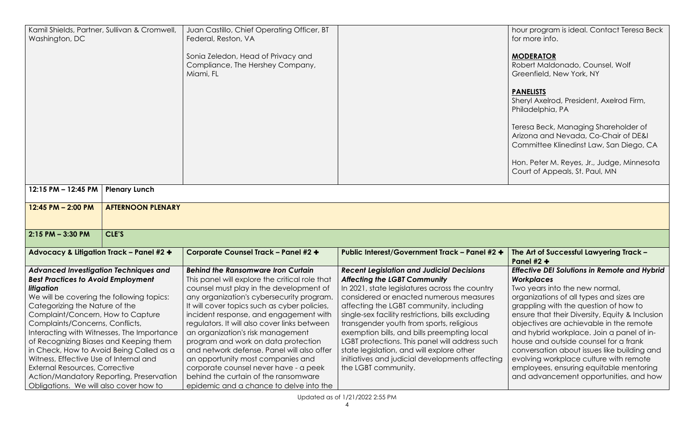| Washington, DC                                                       | Kamil Shields, Partner, Sullivan & Cromwell, | Juan Castillo, Chief Operating Officer, BT<br>Federal, Reston, VA                    |                                                                                           | hour program is ideal. Contact Teresa Beck<br>for more info.               |
|----------------------------------------------------------------------|----------------------------------------------|--------------------------------------------------------------------------------------|-------------------------------------------------------------------------------------------|----------------------------------------------------------------------------|
|                                                                      |                                              |                                                                                      |                                                                                           |                                                                            |
|                                                                      |                                              | Sonia Zeledon, Head of Privacy and                                                   |                                                                                           | <b>MODERATOR</b>                                                           |
|                                                                      |                                              | Compliance, The Hershey Company,                                                     |                                                                                           | Robert Maldonado, Counsel, Wolf                                            |
|                                                                      |                                              | Miami, FL                                                                            |                                                                                           | Greenfield, New York, NY                                                   |
|                                                                      |                                              |                                                                                      |                                                                                           | <b>PANELISTS</b>                                                           |
|                                                                      |                                              |                                                                                      |                                                                                           | Sheryl Axelrod, President, Axelrod Firm,                                   |
|                                                                      |                                              |                                                                                      |                                                                                           | Philadelphia, PA                                                           |
|                                                                      |                                              |                                                                                      |                                                                                           | Teresa Beck, Managing Shareholder of                                       |
|                                                                      |                                              |                                                                                      |                                                                                           | Arizona and Nevada, Co-Chair of DE&I                                       |
|                                                                      |                                              |                                                                                      |                                                                                           | Committee Klinedinst Law, San Diego, CA                                    |
|                                                                      |                                              |                                                                                      |                                                                                           | Hon. Peter M. Reyes, Jr., Judge, Minnesota                                 |
|                                                                      |                                              |                                                                                      |                                                                                           | Court of Appeals, St. Paul, MN                                             |
|                                                                      |                                              |                                                                                      |                                                                                           |                                                                            |
| 12:15 PM - 12:45 PM                                                  | <b>Plenary Lunch</b>                         |                                                                                      |                                                                                           |                                                                            |
| 12:45 PM - 2:00 PM                                                   | <b>AFTERNOON PLENARY</b>                     |                                                                                      |                                                                                           |                                                                            |
|                                                                      |                                              |                                                                                      |                                                                                           |                                                                            |
| $2:15$ PM $-3:30$ PM                                                 | CLE'S                                        |                                                                                      |                                                                                           |                                                                            |
| Advocacy & Litigation Track - Panel #2 +                             |                                              | <b>Corporate Counsel Track - Panel #2 +</b>                                          | Public Interest/Government Track - Panel #2 +                                             | The Art of Successful Lawyering Track -                                    |
|                                                                      |                                              |                                                                                      |                                                                                           | Panel $#2 +$                                                               |
| <b>Advanced Investigation Techniques and</b>                         |                                              | <b>Behind the Ransomware Iron Curtain</b>                                            | <b>Recent Legislation and Judicial Decisions</b>                                          | <b>Effective DEI Solutions in Remote and Hybrid</b>                        |
| <b>Best Practices to Avoid Employment</b>                            |                                              | This panel will explore the critical role that                                       | <b>Affecting the LGBT Community</b>                                                       | <b>Workplaces</b>                                                          |
| litigation<br>We will be covering the following topics:              |                                              | counsel must play in the development of<br>any organization's cybersecurity program. | In 2021, state legislatures across the country<br>considered or enacted numerous measures | Two years into the new normal,<br>organizations of all types and sizes are |
| Categorizing the Nature of the                                       |                                              | It will cover topics such as cyber policies,                                         | affecting the LGBT community, including                                                   | grappling with the question of how to                                      |
|                                                                      |                                              | incident response, and engagement with                                               | single-sex facility restrictions, bills excluding                                         | ensure that their Diversity, Equity & Inclusion                            |
| Complaint/Concern, How to Capture<br>Complaints/Concerns, Conflicts, |                                              | regulators. It will also cover links between                                         | transgender youth from sports, religious                                                  | objectives are achievable in the remote                                    |
| Interacting with Witnesses, The Importance                           |                                              | an organization's risk management                                                    | exemption bills, and bills preempting local                                               | and hybrid workplace. Join a panel of in-                                  |
| of Recognizing Biases and Keeping them                               |                                              | program and work on data protection                                                  | LGBT protections. This panel will address such                                            | house and outside counsel for a frank                                      |
| in Check, How to Avoid Being Called as a                             |                                              | and network defense. Panel will also offer                                           | state legislation, and will explore other                                                 | conversation about issues like building and                                |
| Witness, Effective Use of Internal and                               |                                              | an opportunity most companies and                                                    | initiatives and judicial developments affecting                                           | evolving workplace culture with remote                                     |
| <b>External Resources, Corrective</b>                                |                                              | corporate counsel never have - a peek                                                | the LGBT community.                                                                       | employees, ensuring equitable mentoring                                    |
|                                                                      | Action/Mandatory Reporting, Preservation     | behind the curtain of the ransomware                                                 |                                                                                           | and advancement opportunities, and how                                     |
| Obligations. We will also cover how to                               |                                              | epidemic and a chance to delve into the                                              |                                                                                           |                                                                            |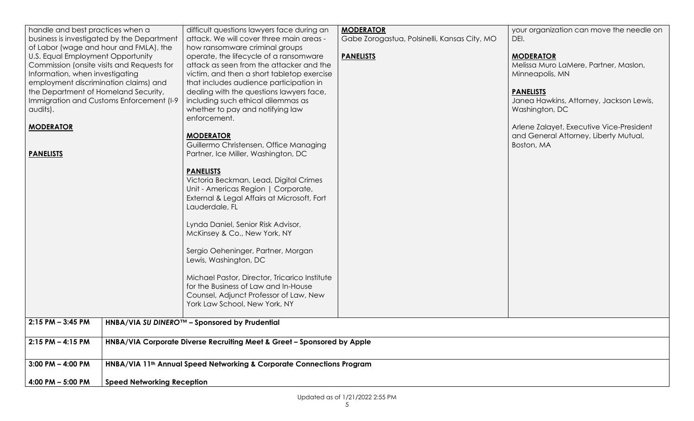| handle and best practices when a<br>business is investigated by the Department<br>of Labor (wage and hour and FMLA), the<br>U.S. Equal Employment Opportunity<br>Commission (onsite visits and Requests for<br>Information, when investigating<br>employment discrimination claims) and<br>the Department of Homeland Security,<br>Immigration and Customs Enforcement (I-9<br>audits).<br><b>MODERATOR</b><br><b>PANELISTS</b> | difficult questions lawyers face during an<br>attack. We will cover three main areas -<br>how ransomware criminal groups<br>operate, the lifecycle of a ransomware<br>attack as seen from the attacker and the<br>victim, and then a short tabletop exercise<br>that includes audience participation in<br>dealing with the questions lawyers face,<br>including such ethical dilemmas as<br>whether to pay and notifying law<br>enforcement.<br><b>MODERATOR</b><br>Guillermo Christensen, Office Managing<br>Partner, Ice Miller, Washington, DC<br><b>PANELISTS</b><br>Victoria Beckman, Lead, Digital Crimes<br>Unit - Americas Region   Corporate,<br>External & Legal Affairs at Microsoft, Fort<br>Lauderdale, FL<br>Lynda Daniel, Senior Risk Advisor,<br>McKinsey & Co., New York, NY<br>Sergio Oeheninger, Partner, Morgan<br>Lewis, Washington, DC<br>Michael Pastor, Director, Tricarico Institute<br>for the Business of Law and In-House<br>Counsel, Adjunct Professor of Law, New<br>York Law School, New York, NY | <b>MODERATOR</b><br>Gabe Zorogastua, Polsinelli, Kansas City, MO<br><b>PANELISTS</b> | your organization can move the needle on<br>DEI.<br><b>MODERATOR</b><br>Melissa Muro LaMere, Partner, Maslon,<br>Minneapolis, MN<br><b>PANELISTS</b><br>Janea Hawkins, Attorney, Jackson Lewis,<br>Washington, DC<br>Arlene Zalayet, Executive Vice-President<br>and General Attorney, Liberty Mutual,<br>Boston, MA |  |
|---------------------------------------------------------------------------------------------------------------------------------------------------------------------------------------------------------------------------------------------------------------------------------------------------------------------------------------------------------------------------------------------------------------------------------|-----------------------------------------------------------------------------------------------------------------------------------------------------------------------------------------------------------------------------------------------------------------------------------------------------------------------------------------------------------------------------------------------------------------------------------------------------------------------------------------------------------------------------------------------------------------------------------------------------------------------------------------------------------------------------------------------------------------------------------------------------------------------------------------------------------------------------------------------------------------------------------------------------------------------------------------------------------------------------------------------------------------------------------|--------------------------------------------------------------------------------------|----------------------------------------------------------------------------------------------------------------------------------------------------------------------------------------------------------------------------------------------------------------------------------------------------------------------|--|
| $2:15$ PM $-$ 3:45 PM                                                                                                                                                                                                                                                                                                                                                                                                           | HNBA/VIA SU DINERO™ - Sponsored by Prudential                                                                                                                                                                                                                                                                                                                                                                                                                                                                                                                                                                                                                                                                                                                                                                                                                                                                                                                                                                                     |                                                                                      |                                                                                                                                                                                                                                                                                                                      |  |
| $2:15$ PM $-$ 4:15 PM                                                                                                                                                                                                                                                                                                                                                                                                           | HNBA/VIA Corporate Diverse Recruiting Meet & Greet - Sponsored by Apple                                                                                                                                                                                                                                                                                                                                                                                                                                                                                                                                                                                                                                                                                                                                                                                                                                                                                                                                                           |                                                                                      |                                                                                                                                                                                                                                                                                                                      |  |
| $3:00$ PM $-$ 4:00 PM                                                                                                                                                                                                                                                                                                                                                                                                           | HNBA/VIA 11 <sup>th</sup> Annual Speed Networking & Corporate Connections Program                                                                                                                                                                                                                                                                                                                                                                                                                                                                                                                                                                                                                                                                                                                                                                                                                                                                                                                                                 |                                                                                      |                                                                                                                                                                                                                                                                                                                      |  |
| 4:00 PM - 5:00 PM                                                                                                                                                                                                                                                                                                                                                                                                               | <b>Speed Networking Reception</b>                                                                                                                                                                                                                                                                                                                                                                                                                                                                                                                                                                                                                                                                                                                                                                                                                                                                                                                                                                                                 |                                                                                      |                                                                                                                                                                                                                                                                                                                      |  |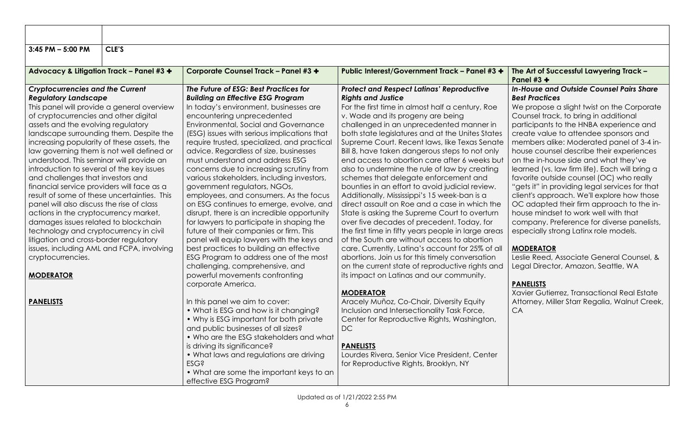| $3:45$ PM $-5:00$ PM                        | CLE'S |                                             |                                                     |                                                         |
|---------------------------------------------|-------|---------------------------------------------|-----------------------------------------------------|---------------------------------------------------------|
|                                             |       |                                             |                                                     |                                                         |
| Advocacy & Litigation Track - Panel #3 +    |       | <b>Corporate Counsel Track - Panel #3 +</b> | Public Interest/Government Track - Panel #3 +       | The Art of Successful Lawyering Track -<br>Panel #3 $+$ |
| <b>Cryptocurrencies and the Current</b>     |       | The Future of ESG: Best Practices for       | <b>Protect and Respect Latinas' Reproductive</b>    | In-House and Outside Counsel Pairs Share                |
| <b>Regulatory Landscape</b>                 |       | <b>Building an Effective ESG Program</b>    | <b>Rights and Justice</b>                           | <b>Best Practices</b>                                   |
| This panel will provide a general overview  |       | In today's environment, businesses are      | For the first time in almost half a century, Roe    | We propose a slight twist on the Corporate              |
| of cryptocurrencies and other digital       |       | encountering unprecedented                  | v. Wade and its progeny are being                   | Counsel track, to bring in additional                   |
| assets and the evolving regulatory          |       | <b>Environmental, Social and Governance</b> | challenged in an unprecedented manner in            | participants to the HNBA experience and                 |
| landscape surrounding them. Despite the     |       | (ESG) issues with serious implications that | both state legislatures and at the Unites States    | create value to attendee sponsors and                   |
| increasing popularity of these assets, the  |       | require trusted, specialized, and practical | Supreme Court. Recent laws, like Texas Senate       | members alike: Moderated panel of 3-4 in-               |
| law governing them is not well defined or   |       | advice. Regardless of size, businesses      | Bill 8, have taken dangerous steps to not only      | house counsel describe their experiences                |
| understood. This seminar will provide an    |       | must understand and address ESG             | end access to abortion care after 6 weeks but       | on the in-house side and what they've                   |
| introduction to several of the key issues   |       | concerns due to increasing scrutiny from    | also to undermine the rule of law by creating       | learned (vs. law firm life). Each will bring a          |
| and challenges that investors and           |       | various stakeholders, including investors,  | schemes that delegate enforcement and               | favorite outside counsel (OC) who really                |
| financial service providers will face as a  |       | government regulators, NGOs,                | bounties in an effort to avoid judicial review.     | "gets it" in providing legal services for that          |
| result of some of these uncertainties. This |       | employees, and consumers. As the focus      | Additionally, Mississippi's 15 week-ban is a        | client's approach. We'll explore how those              |
| panel will also discuss the rise of class   |       | on ESG continues to emerge, evolve, and     | direct assault on Roe and a case in which the       | OC adapted their firm approach to the in-               |
| actions in the cryptocurrency market,       |       | disrupt, there is an incredible opportunity | State is asking the Supreme Court to overturn       | house mindset to work well with that                    |
| damages issues related to blockchain        |       | for lawyers to participate in shaping the   | over five decades of precedent. Today, for          | company. Preference for diverse panelists,              |
| technology and cryptocurrency in civil      |       | future of their companies or firm. This     | the first time in fifty years people in large areas | especially strong Latinx role models.                   |
| litigation and cross-border regulatory      |       | panel will equip lawyers with the keys and  | of the South are without access to abortion         |                                                         |
| issues, including AML and FCPA, involving   |       | best practices to building an effective     | care. Currently, Latina's account for 25% of all    | <b>MODERATOR</b>                                        |
| cryptocurrencies.                           |       | ESG Program to address one of the most      | abortions. Join us for this timely conversation     | Leslie Reed, Associate General Counsel, &               |
|                                             |       | challenging, comprehensive, and             | on the current state of reproductive rights and     | Legal Director, Amazon, Seattle, WA                     |
| <b>MODERATOR</b>                            |       | powerful movements confronting              | its impact on Latinas and our community.            |                                                         |
|                                             |       | corporate America.                          |                                                     | <b>PANELISTS</b>                                        |
|                                             |       |                                             | <b>MODERATOR</b>                                    | Xavier Gutierrez, Transactional Real Estate             |
| <b>PANELISTS</b>                            |       | In this panel we aim to cover:              | Aracely Muñoz, Co-Chair, Diversity Equity           | Attorney, Miller Starr Regalia, Walnut Creek,           |
|                                             |       | • What is ESG and how is it changing?       | Inclusion and Intersectionality Task Force,         | CA                                                      |
|                                             |       | • Why is ESG important for both private     | Center for Reproductive Rights, Washington,         |                                                         |
|                                             |       | and public businesses of all sizes?         | <b>DC</b>                                           |                                                         |
|                                             |       | • Who are the ESG stakeholders and what     |                                                     |                                                         |
| is driving its significance?                |       |                                             | <b>PANELISTS</b>                                    |                                                         |
|                                             |       | • What laws and regulations are driving     | Lourdes Rivera, Senior Vice President, Center       |                                                         |
|                                             |       | <b>ESG?</b>                                 | for Reproductive Rights, Brooklyn, NY               |                                                         |
|                                             |       | • What are some the important keys to an    |                                                     |                                                         |
|                                             |       | effective ESG Program?                      |                                                     |                                                         |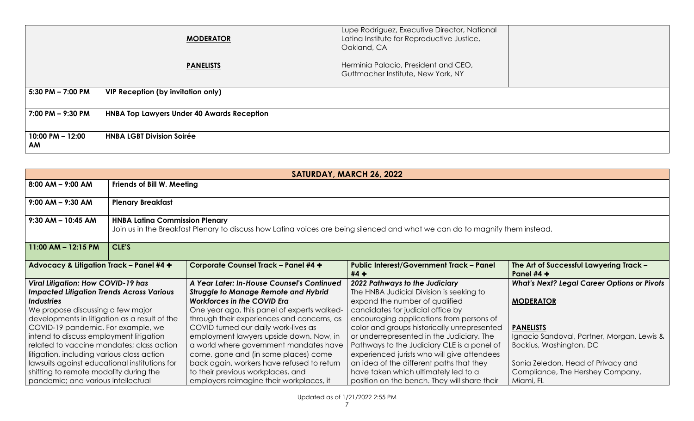|                            |                                           | <b>MODERATOR</b>                                  | Lupe Rodriguez, Executive Director, National<br>Latina Institute for Reproductive Justice,<br>Oakland, CA |  |
|----------------------------|-------------------------------------------|---------------------------------------------------|-----------------------------------------------------------------------------------------------------------|--|
|                            |                                           | <b>PANELISTS</b>                                  | Herminia Palacio, President and CEO,<br>Guttmacher Institute, New York, NY                                |  |
| $5:30$ PM $- 7:00$ PM      | <b>VIP Reception (by invitation only)</b> |                                                   |                                                                                                           |  |
| 7:00 PM - 9:30 PM          |                                           | <b>HNBA Top Lawyers Under 40 Awards Reception</b> |                                                                                                           |  |
| $10:00$ PM $- 12:00$<br>AM | <b>HNBA LGBT Division Soirée</b>          |                                                   |                                                                                                           |  |

| SATURDAY, MARCH 26, 2022                                                            |                                                                                                                                                                       |                                             |                                              |                                                    |  |  |
|-------------------------------------------------------------------------------------|-----------------------------------------------------------------------------------------------------------------------------------------------------------------------|---------------------------------------------|----------------------------------------------|----------------------------------------------------|--|--|
| $8:00$ AM $-$ 9:00 AM                                                               |                                                                                                                                                                       | <b>Friends of Bill W. Meeting</b>           |                                              |                                                    |  |  |
| $9:00$ AM $-$ 9:30 AM                                                               |                                                                                                                                                                       |                                             |                                              |                                                    |  |  |
|                                                                                     | <b>Plenary Breakfast</b>                                                                                                                                              |                                             |                                              |                                                    |  |  |
| $9:30$ AM - 10:45 AM                                                                | <b>HNBA Latina Commission Plenary</b><br>Join us in the Breakfast Plenary to discuss how Latina voices are being silenced and what we can do to magnify them instead. |                                             |                                              |                                                    |  |  |
| 11:00 AM $-$ 12:15 PM                                                               | CLE'S                                                                                                                                                                 |                                             |                                              |                                                    |  |  |
| Advocacy & Litigation Track - Panel #4 +                                            | <b>Corporate Counsel Track - Panel #4 +</b><br><b>Public Interest/Government Track - Panel</b><br>The Art of Successful Lawyering Track -<br>Panel $#4 +$<br>$#4 +$   |                                             |                                              |                                                    |  |  |
| <b>Viral Litigation: How COVID-19 has</b>                                           |                                                                                                                                                                       | A Year Later: In-House Counsel's Continued  | 2022 Pathways to the Judiciary               | <b>What's Next? Legal Career Options or Pivots</b> |  |  |
| <b>Impacted Litigation Trends Across Various</b>                                    |                                                                                                                                                                       | <b>Struggle to Manage Remote and Hybrid</b> | The HNBA Judicial Division is seeking to     |                                                    |  |  |
| <b>Industries</b>                                                                   |                                                                                                                                                                       | <b>Workforces in the COVID Era</b>          | expand the number of qualified               | <b>MODERATOR</b>                                   |  |  |
| We propose discussing a few major                                                   |                                                                                                                                                                       | One year ago, this panel of experts walked- | candidates for judicial office by            |                                                    |  |  |
| developments in litigation as a result of the                                       |                                                                                                                                                                       | through their experiences and concerns, as  | encouraging applications from persons of     |                                                    |  |  |
| COVID-19 pandemic. For example, we                                                  | COVID turned our daily work-lives as<br>color and groups historically unrepresented<br><b>PANELISTS</b>                                                               |                                             |                                              |                                                    |  |  |
| intend to discuss employment litigation<br>employment lawyers upside down. Now, in  |                                                                                                                                                                       |                                             | or underrepresented in the Judiciary. The    | Ignacio Sandoval, Partner, Morgan, Lewis &         |  |  |
| related to vaccine mandates; class action<br>a world where government mandates have |                                                                                                                                                                       |                                             | Pathways to the Judiciary CLE is a panel of  | Bockius, Washington, DC                            |  |  |
|                                                                                     | litigation, including various class action<br>come, gone and (in some places) come<br>experienced jurists who will give attendees                                     |                                             |                                              |                                                    |  |  |
| lawsuits against educational institutions for                                       |                                                                                                                                                                       | back again, workers have refused to return  | an idea of the different paths that they     | Sonia Zeledon, Head of Privacy and                 |  |  |
| shifting to remote modality during the                                              |                                                                                                                                                                       | to their previous workplaces, and           | have taken which ultimately led to a         | Compliance, The Hershey Company,                   |  |  |
| pandemic; and various intellectual                                                  |                                                                                                                                                                       | employers reimagine their workplaces, it    | position on the bench. They will share their | Miami, FL                                          |  |  |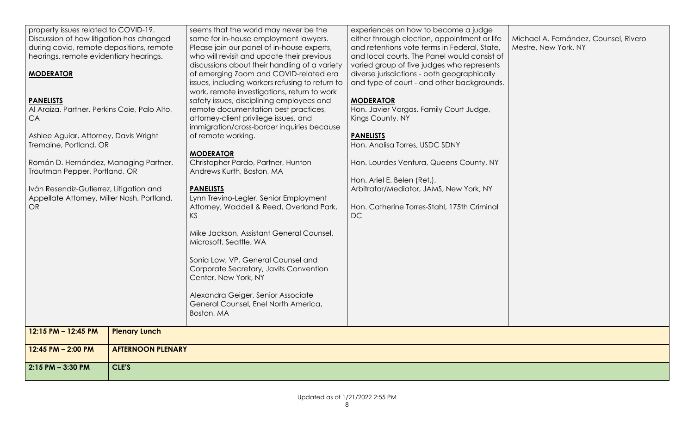| property issues related to COVID-19.<br>Discussion of how litigation has changed<br>during covid, remote depositions, remote<br>hearings, remote evidentiary hearings.<br><b>MODERATOR</b><br><b>PANELISTS</b><br>Al Araiza, Partner, Perkins Coie, Palo Alto,<br>CA<br>Ashlee Aguiar, Attorney, Davis Wright<br>Tremaine, Portland, OR<br>Román D. Hernández, Managing Partner,<br>Troutman Pepper, Portland, OR<br>Iván Resendiz-Gutierrez, Litigation and<br>Appellate Attorney, Miller Nash, Portland,<br><b>OR</b> |                          | seems that the world may never be the<br>same for in-house employment lawyers.<br>Please join our panel of in-house experts,<br>who will revisit and update their previous<br>discussions about their handling of a variety<br>of emerging Zoom and COVID-related era<br>issues, including workers refusing to return to<br>work, remote investigations, return to work<br>safety issues, disciplining employees and<br>remote documentation best practices,<br>attorney-client privilege issues, and<br>immigration/cross-border inquiries because<br>of remote working.<br><b>MODERATOR</b><br>Christopher Pardo, Partner, Hunton<br>Andrews Kurth, Boston, MA<br><b>PANELISTS</b><br>Lynn Trevino-Legler, Senior Employment<br>Attorney, Waddell & Reed, Overland Park,<br><b>KS</b><br>Mike Jackson, Assistant General Counsel,<br>Microsoft, Seattle, WA<br>Sonia Low, VP, General Counsel and<br>Corporate Secretary, Javits Convention<br>Center, New York, NY<br>Alexandra Geiger, Senior Associate<br>General Counsel, Enel North America, | experiences on how to become a judge<br>either through election, appointment or life<br>and retentions vote terms in Federal, State,<br>and local courts. The Panel would consist of<br>varied group of five judges who represents<br>diverse jurisdictions - both geographically<br>and type of court - and other backgrounds.<br><b>MODERATOR</b><br>Hon. Javier Vargas, Family Court Judge,<br>Kings County, NY<br><b>PANELISTS</b><br>Hon. Analisa Torres, USDC SDNY<br>Hon. Lourdes Ventura, Queens County, NY<br>Hon. Ariel E. Belen (Ret.),<br>Arbitrator/Mediator, JAMS, New York, NY<br>Hon. Catherine Torres-Stahl, 175th Criminal<br>DC | Michael A. Fernández, Counsel, Rivero<br>Mestre, New York, NY |
|-------------------------------------------------------------------------------------------------------------------------------------------------------------------------------------------------------------------------------------------------------------------------------------------------------------------------------------------------------------------------------------------------------------------------------------------------------------------------------------------------------------------------|--------------------------|-----------------------------------------------------------------------------------------------------------------------------------------------------------------------------------------------------------------------------------------------------------------------------------------------------------------------------------------------------------------------------------------------------------------------------------------------------------------------------------------------------------------------------------------------------------------------------------------------------------------------------------------------------------------------------------------------------------------------------------------------------------------------------------------------------------------------------------------------------------------------------------------------------------------------------------------------------------------------------------------------------------------------------------------------------|----------------------------------------------------------------------------------------------------------------------------------------------------------------------------------------------------------------------------------------------------------------------------------------------------------------------------------------------------------------------------------------------------------------------------------------------------------------------------------------------------------------------------------------------------------------------------------------------------------------------------------------------------|---------------------------------------------------------------|
|                                                                                                                                                                                                                                                                                                                                                                                                                                                                                                                         |                          | Boston, MA                                                                                                                                                                                                                                                                                                                                                                                                                                                                                                                                                                                                                                                                                                                                                                                                                                                                                                                                                                                                                                          |                                                                                                                                                                                                                                                                                                                                                                                                                                                                                                                                                                                                                                                    |                                                               |
| 12:15 PM - 12:45 PM                                                                                                                                                                                                                                                                                                                                                                                                                                                                                                     | <b>Plenary Lunch</b>     |                                                                                                                                                                                                                                                                                                                                                                                                                                                                                                                                                                                                                                                                                                                                                                                                                                                                                                                                                                                                                                                     |                                                                                                                                                                                                                                                                                                                                                                                                                                                                                                                                                                                                                                                    |                                                               |
| 12:45 PM - 2:00 PM                                                                                                                                                                                                                                                                                                                                                                                                                                                                                                      | <b>AFTERNOON PLENARY</b> |                                                                                                                                                                                                                                                                                                                                                                                                                                                                                                                                                                                                                                                                                                                                                                                                                                                                                                                                                                                                                                                     |                                                                                                                                                                                                                                                                                                                                                                                                                                                                                                                                                                                                                                                    |                                                               |
|                                                                                                                                                                                                                                                                                                                                                                                                                                                                                                                         |                          |                                                                                                                                                                                                                                                                                                                                                                                                                                                                                                                                                                                                                                                                                                                                                                                                                                                                                                                                                                                                                                                     |                                                                                                                                                                                                                                                                                                                                                                                                                                                                                                                                                                                                                                                    |                                                               |
| $2:15$ PM $-$ 3:30 PM                                                                                                                                                                                                                                                                                                                                                                                                                                                                                                   | CLE'S                    |                                                                                                                                                                                                                                                                                                                                                                                                                                                                                                                                                                                                                                                                                                                                                                                                                                                                                                                                                                                                                                                     |                                                                                                                                                                                                                                                                                                                                                                                                                                                                                                                                                                                                                                                    |                                                               |